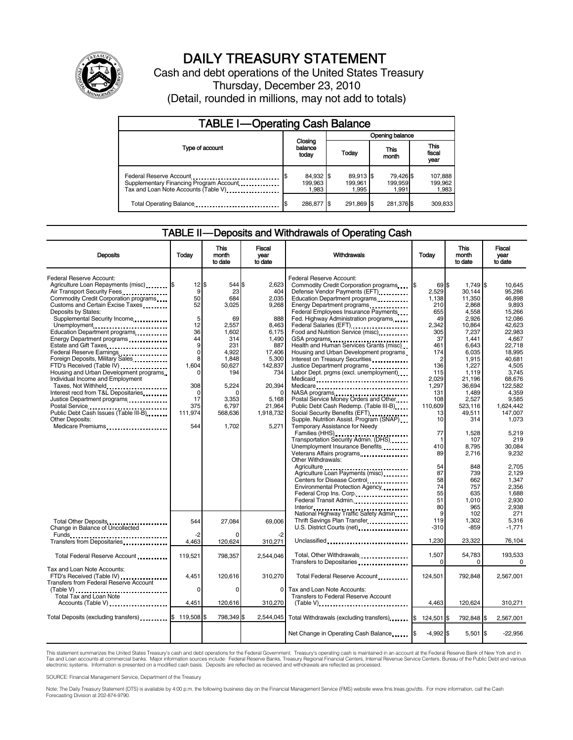

# DAILY TREASURY STATEMENT

Cash and debt operations of the United States Treasury Thursday, December 23, 2010 (Detail, rounded in millions, may not add to totals)

| <b>TABLE I-Operating Cash Balance</b>                                                                      |                               |                               |                               |                             |  |  |
|------------------------------------------------------------------------------------------------------------|-------------------------------|-------------------------------|-------------------------------|-----------------------------|--|--|
|                                                                                                            |                               |                               | Opening balance               |                             |  |  |
| Type of account                                                                                            | Closing<br>balance<br>today   | Today                         | This<br>month                 | This<br>fiscal<br>year      |  |  |
| Federal Reserve Account<br>Supplementary Financing Program Account<br>Tax and Loan Note Accounts (Table V) | 84,932 \$<br>199.963<br>1.983 | 89.913 \$<br>199.961<br>1.995 | 79,426 \$<br>199,959<br>1.991 | 107,888<br>199,962<br>1,983 |  |  |
| Total Operating Balance                                                                                    | 286.877 \$                    | 291.869 \$                    | 281,376 \$                    | 309.833                     |  |  |

#### TABLE II — Deposits and Withdrawals of Operating Cash

| <b>Deposits</b>                                                                                                    | Today                          | This<br>month<br>to date        | <b>Fiscal</b><br>year<br>to date  | <b>Withdrawals</b>                                                                                                                                  | <b>Today</b>                        | <b>This</b><br>month<br>to date     | Fiscal<br>vear<br>to date              |
|--------------------------------------------------------------------------------------------------------------------|--------------------------------|---------------------------------|-----------------------------------|-----------------------------------------------------------------------------------------------------------------------------------------------------|-------------------------------------|-------------------------------------|----------------------------------------|
| Federal Reserve Account:<br>Agriculture Loan Repayments (misc) \$<br>Air Transport Security Fees.                  | $12$ s<br>9                    | 544 \$<br>23                    | 2.623<br>404                      | Federal Reserve Account:<br>Commodity Credit Corporation programs<br>Defense Vendor Payments (EFT)                                                  | 69S<br>2,529                        | 1,749 \$<br>30.144                  | 10.645<br>95.286                       |
| Commodity Credit Corporation programs<br>Customs and Certain Excise Taxes<br>Deposits by States:                   | 50<br>52                       | 684<br>3.025                    | 2,035<br>9.268                    | Education Department programs<br>Energy Department programs<br><br>Federal Employees Insurance Payments                                             | 1.138<br>210<br>655                 | 11,350<br>2.868<br>4,558            | 46.898<br>9.893<br>15,266              |
| Supplemental Security Income<br>Unemployment<br>Education Department programs<br>Energy Department programs        | 5<br>12<br>36<br>44            | 69<br>2.557<br>1,602<br>314     | 888<br>8.463<br>6,175<br>1,490    | Fed. Highway Administration programs<br>Federal Salaries (EFT)<br>Federal Salaries (EFT)<br>1<br>Food and Nutrition Service (misc)<br>GSA programs  | 49<br>2.342<br>305<br>37            | 2.926<br>10.864<br>7,237<br>1,441   | 12.086<br>42.623<br>22,983<br>4,667    |
| Estate and Gift Taxes<br>Federal Reserve Earnings<br>Foreign Deposits, Military Sales<br>FTD's Received (Table IV) | 9<br>$\mathbf 0$<br>8<br>1.604 | 231<br>4,922<br>1,848<br>50,627 | 887<br>17,406<br>5,300<br>142,837 | Health and Human Services Grants (misc)<br>Housing and Urban Development programs<br>Interest on Treasury Securities<br>Justice Department programs | 461<br>174<br>$\overline{c}$<br>136 | 6,643<br>6,035<br>1,915<br>1,227    | 22,718<br>18,995<br>40.681<br>4.505    |
| Housing and Urban Development programs<br>Individual Income and Employment<br>Taxes, Not Withheld                  | O<br>308                       | 194<br>5.224                    | 734<br>20,394                     | Labor Dept. prgms (excl. unemployment)<br>Medicaid<br>Medicare                                                                                      | 115<br>2,029<br>1.297               | 1,119<br>21,196<br>36,694           | 3,745<br>68,676<br>122.582             |
| Interest recd from T&L Depositaries<br>Justice Department programs<br>Public Debt Cash Issues (Table III-B)        | 0<br>17<br>375<br>111,974      | C<br>3,353<br>6.797<br>568,636  | 5,168<br>21,964<br>1,918,732      | Postal Service Money Orders and Other<br>Public Debt Cash Redemp. (Table III-B)<br>Social Security Benefits (EFT)                                   | 131<br>108<br>110,609<br>13         | 1,489<br>2,527<br>523.116<br>49,511 | 4.359<br>9,585<br>1.624.442<br>147,007 |
| <b>Other Deposits:</b><br>Medicare Premiums                                                                        | 544                            | 1,702                           | 5,271                             | Supple. Nutrition Assist. Program (SNAP)<br>Temporary Assistance for Needy<br>Transportation Security Admin. (DHS)                                  | 10<br>77<br>1                       | 314<br>1.528<br>107                 | 1,073<br>5.219<br>219                  |
|                                                                                                                    |                                |                                 |                                   | Unemployment Insurance Benefits<br>Other Withdrawals:                                                                                               | 410<br>89                           | 8,795<br>2,716                      | 30.084<br>9,232                        |
|                                                                                                                    |                                |                                 |                                   | Agriculture Loan Payments (misc)<br>Centers for Disease Control<br>Environmental Protection Agency                                                  | 54<br>87<br>58<br>74                | 848<br>739<br>662<br>757            | 2.705<br>2.129<br>1,347<br>2.356       |
|                                                                                                                    |                                |                                 |                                   | Federal Crop Ins. Corp.<br>Federal Transit Admin.<br>National Highway Traffic Safety Admin                                                          | 55<br>51<br>80<br>9                 | 635<br>1,010<br>965<br>102          | 1.688<br>2,930<br>2.938<br>271         |
| Total Other Deposits<br>Change in Balance of Uncollected<br>Funds                                                  | 544<br>-2                      | 27,084                          | 69.006                            | Thrift Savings Plan Transfer<br>U.S. District Courts (net)                                                                                          | 119<br>$-310$                       | 1,302<br>$-859$                     | 5.316<br>$-1,771$                      |
| Transfers from Depositaries<br>Total Federal Reserve Account                                                       | 4.463<br>119,521               | 120,624<br>798,357              | 310,271<br>2,544,046              | Unclassified<br>Total, Other Withdrawals                                                                                                            | 1,230<br>1,507                      | 23,322<br>54,783                    | 76,104<br>193,533                      |
| Tax and Loan Note Accounts:<br>FTD's Received (Table IV)<br><b>Transfers from Federal Reserve Account</b>          | 4,451                          | 120.616                         | 310,270                           | Transfers to Depositaries<br>Total Federal Reserve Account                                                                                          | $\Omega$<br>124,501                 | $\Omega$<br>792,848                 | $\Omega$<br>2,567,001                  |
| $(Table V)$<br>.<br>Total Tax and Loan Note<br>Accounts (Table V)                                                  | 0<br>4.451                     | $\Omega$<br>120,616             | $\mathbf 0$<br>310,270            | Tax and Loan Note Accounts:<br><b>Transfers to Federal Reserve Account</b><br>$(Table V)$                                                           | 4.463                               | 120,624                             | 310,271                                |
| Total Deposits (excluding transfers)                                                                               | 119,508 \$                     | 798,349 \$                      | 2,544,045                         | Total Withdrawals (excluding transfers)                                                                                                             | 124,501 \$<br>\$                    | 792,848 \$                          | 2,567,001                              |
|                                                                                                                    |                                |                                 |                                   | Net Change in Operating Cash Balance                                                                                                                | $-4,992$ \$                         | $5,501$ \$                          | $-22,956$                              |

This statement summarizes the United States Treasury's cash and debt operations for the Federal Government. Treasury's operating cash is maintained in an account at the Federal Reserve Bank of New York and in<br>Tax and Loan electronic systems. Information is presented on a modified cash basis. Deposits are reflected as received and withdrawals are reflected as processed.

SOURCE: Financial Management Service, Department of the Treasury

Note: The Daily Treasury Statement (DTS) is available by 4:00 p.m. the following business day on the Financial Management Service (FMS) website www.fms.treas.gov/dts. For more information, call the Cash Forecasting Division at 202-874-9790.